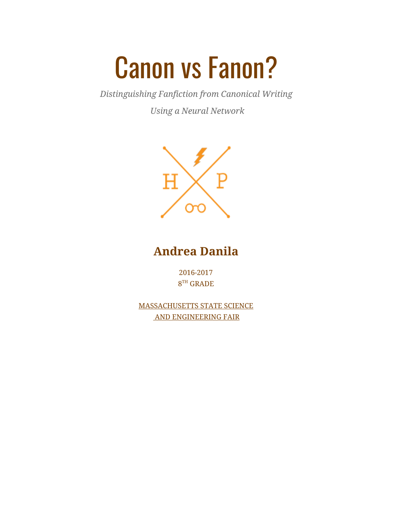# Canon vs Fanon?

*Distinguishing Fanfiction from Canonical Writing*

*Using a Neural Network*



**Andrea Danila**

2016-2017 8 TH GRADE

MASSACHUSETTS STATE SCIENCE AND ENGINEERING FAIR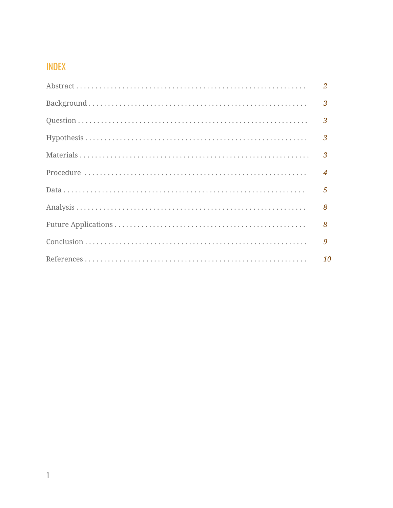## **INDEX**

| $\overline{2}$ |
|----------------|
|                |
| $\overline{3}$ |
|                |
| $\overline{3}$ |
| $\overline{4}$ |
| $\overline{5}$ |
| 8              |
| 8              |
| 9              |
| 10             |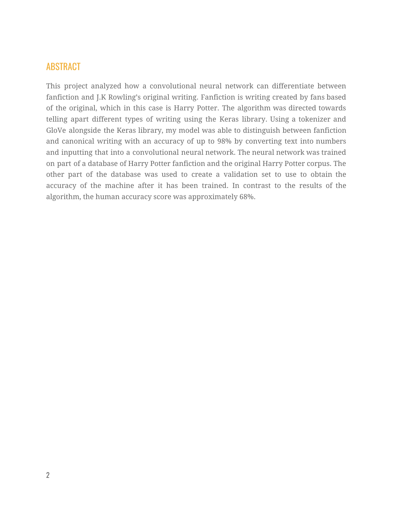### ABSTRACT

This project analyzed how a convolutional neural network can differentiate between fanfiction and J.K Rowling's original writing. Fanfiction is writing created by fans based of the original, which in this case is Harry Potter. The algorithm was directed towards telling apart different types of writing using the Keras library. Using a tokenizer and GloVe alongside the Keras library, my model was able to distinguish between fanfiction and canonical writing with an accuracy of up to 98% by converting text into numbers and inputting that into a convolutional neural network. The neural network was trained on part of a database of Harry Potter fanfiction and the original Harry Potter corpus. The other part of the database was used to create a validation set to use to obtain the accuracy of the machine after it has been trained. In contrast to the results of the algorithm, the human accuracy score was approximately 68%.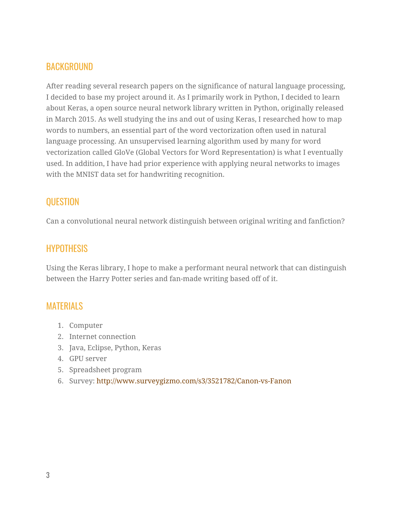## **BACKGROUND**

After reading several research papers on the significance of natural language processing, I decided to base my project around it. As I primarily work in Python, I decided to learn about Keras, a open source neural network library written in Python, originally released in March 2015. As well studying the ins and out of using Keras, I researched how to map words to numbers, an essential part of the word vectorization often used in natural language processing. An unsupervised learning algorithm used by many for word vectorization called GloVe (Global Vectors for Word Representation) is what I eventually used. In addition, I have had prior experience with applying neural networks to images with the MNIST data set for handwriting recognition.

## **QUESTION**

Can a convolutional neural network distinguish between original writing and fanfiction?

## **HYPOTHESIS**

Using the Keras library, I hope to make a performant neural network that can distinguish between the Harry Potter series and fan-made writing based off of it.

## MATERIALS

- 1. Computer
- 2. Internet connection
- 3. Java, Eclipse, Python, Keras
- 4. GPU server
- 5. Spreadsheet program
- 6. Survey: <http://www.surveygizmo.com/s3/3521782/Canon-vs-Fanon>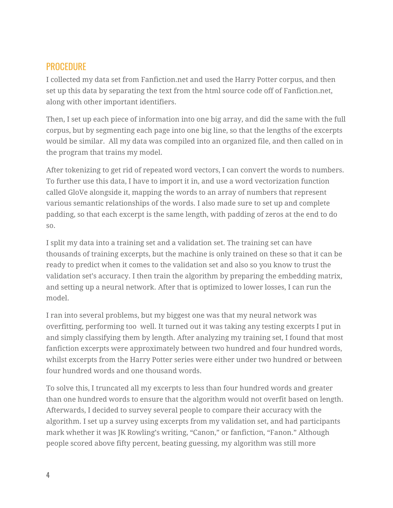## PROCEDURE

I collected my data set from Fanfiction.net and used the Harry Potter corpus, and then set up this data by separating the text from the html source code off of Fanfiction.net, along with other important identifiers.

Then, I set up each piece of information into one big array, and did the same with the full corpus, but by segmenting each page into one big line, so that the lengths of the excerpts would be similar. All my data was compiled into an organized file, and then called on in the program that trains my model.

After tokenizing to get rid of repeated word vectors, I can convert the words to numbers. To further use this data, I have to import it in, and use a word vectorization function called GloVe alongside it, mapping the words to an array of numbers that represent various semantic relationships of the words. I also made sure to set up and complete padding, so that each excerpt is the same length, with padding of zeros at the end to do so.

I split my data into a training set and a validation set. The training set can have thousands of training excerpts, but the machine is only trained on these so that it can be ready to predict when it comes to the validation set and also so you know to trust the validation set's accuracy. I then train the algorithm by preparing the embedding matrix, and setting up a neural network. After that is optimized to lower losses, I can run the model.

I ran into several problems, but my biggest one was that my neural network was overfitting, performing too well. It turned out it was taking any testing excerpts I put in and simply classifying them by length. After analyzing my training set, I found that most fanfiction excerpts were approximately between two hundred and four hundred words, whilst excerpts from the Harry Potter series were either under two hundred or between four hundred words and one thousand words.

To solve this, I truncated all my excerpts to less than four hundred words and greater than one hundred words to ensure that the algorithm would not overfit based on length. Afterwards, I decided to survey several people to compare their accuracy with the algorithm. I set up a survey using excerpts from my validation set, and had participants mark whether it was JK Rowling's writing, "Canon," or fanfiction, "Fanon." Although people scored above fifty percent, beating guessing, my algorithm was still more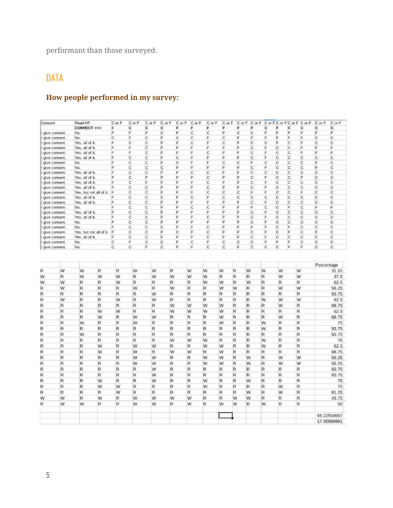performant than those surveyed.

## **DATA**

## **How people performed in my survey:**

| Consent         |                                | Read HP         |                         | C or F | C or F | C or F      | C or F  | C or F | CorF   | CorF   | C or F | C or F | CorF   |              |        |        | C or F C or F C or F C or F | C or F     | C or F            |
|-----------------|--------------------------------|-----------------|-------------------------|--------|--------|-------------|---------|--------|--------|--------|--------|--------|--------|--------------|--------|--------|-----------------------------|------------|-------------------|
|                 |                                | CORRECT >>>     |                         | F      | с      | c           | c       | F      | F      | F      | F      | F      | F      | c            | F      | с      | c                           | C          | с                 |
|                 | give consent.                  | No.             |                         | F      | F      | F           | C       | F      | C      | C      | F      | C      | C      | F            | F      | F      | F                           | F          | F                 |
|                 | give consent.                  | No.             |                         | C      | F      | C           | F       | C      | C      | F      | C      | F      | F      | F            | F      | F      | F                           | C          | C                 |
|                 | give consent.                  | Yes, all of it. |                         | F      | C      | C           | F       | F      | C      | F      | C      | F      | C      | C            | F      | C      | F                           | C          | $\mathbf C$       |
|                 | give consent.                  | Yes, all of it. |                         | F      | F      | C           | F       | F      | F      | F      | F      | F      | C      | F            | C      | C      | F                           | F          | F                 |
|                 | give consent.                  | Yes, all of it. |                         | F      | F      | C           | F       | F      | F      | C      | F      | F      | C      | F            | C      | C      | F                           | F          | F                 |
|                 | give consent.                  | Yes, all of it. |                         | F      | C      | C           | F       | C      | F      | F      | F      | F      | C      | F            | C      | C      | C                           | C          | C                 |
|                 | give consent.                  | No.             |                         | F      | С      | C           | E       | C      | F      | F      | C      | c      | F      | C            | С      | C      | С                           | F          | C                 |
|                 | give consent.                  | No.             |                         | F      | C      | C           | C       | F      | F      | F      | F      | E      | C      | F            | C      | C      | C                           | F          | C                 |
|                 | give consent.                  | Yes, all of it. |                         | F      | C      | C           | F       | E      | C      | C      | F      | E      | C      | C            | C      | C      | C                           | Ċ          | C                 |
|                 | give consent.                  | Yes, all of it. |                         | F      | C      | F           | F       | F      | F      | C      | F      | F      | C      | F            | C      | C      | F                           | C          | C                 |
|                 | give consent.                  | Yes, all of it. |                         | F      | C      | F           | F       | F      | F      | C      | F      | F      | C      | F            | C      | C      | C                           | C          | C                 |
|                 | give consent.                  | Yes, all of it. |                         | F      | C      | C           | F       | F      | F      | C      | F      | E      | C      | F            | C      | C      | C                           | C          | C                 |
|                 | give consent.                  |                 | Yes, but not all of it. | F      | С      | C           | F       | F      | F      | C      | C      | C      | F      | F            | C      | C      | F                           | C          | C                 |
|                 | give consent.                  | Yes, all of it. |                         | F      | C      | C           | C       | F      | C      | F      | C      | C      | C      | C            | C      | C      | C                           | C          | C                 |
|                 | give consent.                  | Yes, all of it. |                         | F      | C      | C           | F       | F<br>E | F      | F      | F      | F      | C<br>F | F            | C      | C<br>F | C                           | Ċ<br>F     | C                 |
|                 | give consent.                  | No.             |                         | F<br>F | C<br>C | C<br>C      | F.<br>F | F      | C<br>F | C<br>F | F<br>F | F<br>F | C      | C<br>F       | C<br>C | C      | C<br>C                      | Ċ          | F<br>$\mathsf{C}$ |
|                 | give consent.                  | Yes, all of it. |                         | F      | C      | C           | F       | F      | F      | C      | F      | F      | C      | F            | C      | C      | C                           | Ċ          |                   |
|                 | give consent.                  | Yes, all of it. |                         | F      | C      | C           | F       | F      | F      | F      | F      | F      | C      | F            | C      | C      | C                           | C          | C<br>C            |
|                 | give consent.                  | No.             |                         | Е      | с      | C           | C       | E      | F      | C      | F      | F      | F      | E            | C      | F      | C                           | C          | C                 |
|                 | give consent.                  | No.             |                         | F      | С      | C           | F       | C      | F      | C      | F      | F      | C      | F            | C      | F      | C                           | F          | C                 |
|                 | give consent.<br>give consent. | Yes, all of it. | Yes, but not all of it. | F      | C      | C           | F       | E      | F      | C      | F      | F      | C      | F            | C      | C      | C                           | Ċ          | C                 |
|                 | give consent.                  | No.             |                         | C      | F      | C           | C       | F      | C      | F      | C      | C      | C      | F            | F      | F      | C                           | C          | C                 |
| I give consent. |                                | No.             |                         | C      | C      | F           | C       | F      | F      | C      | C      | F      | C      | C            | C      | F      | F                           | Ċ          | C                 |
|                 |                                |                 |                         |        |        |             |         |        |        |        |        |        |        |              |        |        |                             | Percentage |                   |
| R               | W                              | w               | R                       | R      | w      | W           | R       |        | W      | w      | W      | R      | w      | w            | W      |        | W                           |            | 31.25             |
| w               | R                              | w               | W                       | W      | R      | W           | w       |        | W      | W      | R      | R      | R      | R            | W      |        | W                           |            | 37.5              |
| W               | W                              | R               | R                       | W      | R      | R           | R       |        | R      | w      | W      | R      | w      | R            | R      |        | R                           |            | 62.5              |
| R               | W                              | $\mathsf R$     | R                       | R      | W      | R           | w       |        | R      | R      | W      | W      | R      | $\mathsf{R}$ | W      |        | W                           |            | 56.25             |
| R               | R                              | R               | R                       | R      | R      | W           | R       |        | R      | R      | R      | R      | R      | R            | R      |        | R                           |            | 93.75             |
| R               | W                              | R               | R                       | W      | R      | W           | R       |        | R      | R      | R      | R      | R      | W            | W      |        | W                           |            | 62.5              |
|                 |                                |                 |                         |        |        |             |         |        |        |        |        |        |        |              |        |        |                             |            |                   |
| R               | R                              | R               | R                       | R      | R      | R           | w       |        | W      | w      | W      | R      | R      | R            | W      |        | R                           |            | 68.75             |
| R               | R                              | R               | W                       | W      | R      | $\mathbb R$ | w       |        | W      | w      | W      | R      | R      | R            | R      |        | R                           |            | 62.5              |
| R               | R                              | R               | W                       | R      | W      | W           | R       |        | R      | R      | W      | R      | R      | R            | W      |        | R                           |            | 68.75             |
| R               | R                              | w               | R                       | R      | w      | R           | R       |        | R      | R      | W      | R      | R      | w            | R      |        | R                           |            | 75                |
| R               | R                              | R               | R                       | R      | R      | R           | R       |        | R      | R      | R      | R      | R      | W            | R      |        | R                           |            | 93.75             |
| R               | R                              | w               | R                       | R      | R      | R           | R       |        | R      | R      | R      | R      | R      | R            | R      |        | R                           |            | 93.75             |
| R               | R                              | R               | R                       | R      | R      | R           | W       |        | W      | W      | R      | R      | R      | W            | R      |        | R                           |            | 75                |
| R               | R                              | R               | W                       | R      | w      | W           | R       |        | R      | w      | W      | R      | R      | W            | R      |        | R                           |            | 62.5              |
| R               | R                              | R               | W                       | R      | w      | R           | w       |        | W      | R      | W      | R      | R      | R            | R      |        | R                           |            | 68.75             |
| R               | R                              | R               | R                       | R      | w      | W           | R       |        | R      | w      | W      | R      | W      | R            | W      |        | W                           |            | 56.25             |
|                 |                                |                 |                         |        |        |             |         |        |        |        |        |        |        |              |        |        |                             |            |                   |
| R               | R                              | $\mathsf R$     | R                       | R      | W      | W           | R       |        | R      | w      | W      | R      | W      | R            | W      |        | W                           |            | 56.25             |
| R               | R                              | R               | R                       | R      | R      | W           | R       |        | R      | R      | R      | R      | R      | R            | R      |        | R                           |            | 93.75             |
| R               | R                              | R               | R                       | R      | R      | W           | R       |        | R      | R      | R      | R      | R      | R            | R      |        | R                           |            | 93.75             |
| R               | R                              | R               | W                       | R      | R      | W           | R       |        | R      | W      | R      | R      | W      | R            | R      |        | R                           |            | 75                |
| R               | R                              | R               | W                       | W      | R      | R           | R       |        | R      | W      | R      | R      | R      | R            | W      |        | R                           |            | 75                |
| R               | R                              | R               | R                       | W      | R      | R           | R       |        | R      | R      | R      | R      | w      | R            | W      |        | R                           |            | 81.25             |
| w               | W                              | R               | W                       | R      | w      | W           | w       |        | W      | R      | R      | W      | w      | R            | R      |        | R                           |            | 43.75             |
| R               | W                              | w               | R                       | R      | w      | W           | R       |        | W      | R      | W      | W      | R      | W            | R      |        | R                           |            | 50                |
|                 |                                |                 |                         |        |        |             |         |        |        |        |        |        |        |              |        |        |                             |            |                   |
|                 |                                |                 |                         |        |        |             |         |        |        |        |        |        |        |              |        |        |                             |            | 68.22916667       |
|                 |                                |                 |                         |        |        |             |         |        |        |        |        |        |        |              |        |        |                             |            | 17.95569981       |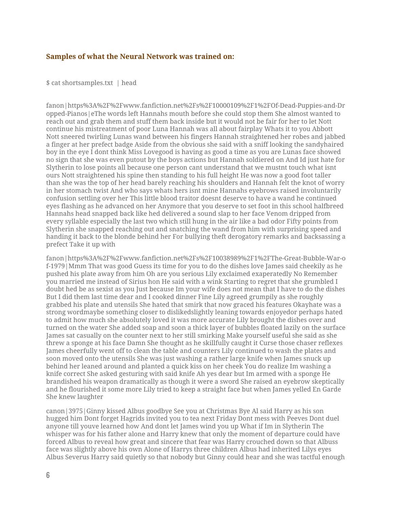#### **Samples of what the Neural Network was trained on:**

\$ cat shortsamples.txt | head

fanon|https%3A%2F%2Fwww.fanfiction.net%2Fs%2F10000109%2F1%2FOf-Dead-Puppies-and-Dr opped-Pianos|eThe words left Hannahs mouth before she could stop them She almost wanted to reach out and grab them and stuff them back inside but it would not be fair for her to let Nott continue his mistreatment of poor Luna Hannah was all about fairplay Whats it to you Abbott Nott sneered twirling Lunas wand between his fingers Hannah straightened her robes and jabbed a finger at her prefect badge Aside from the obvious she said with a sniff looking the sandyhaired boy in the eye I dont think Miss Lovegood is having as good a time as you are Lunas face showed no sign that she was even putout by the boys actions but Hannah soldiered on And Id just hate for Slytherin to lose points all because one person cant understand that we mustnt touch what isnt ours Nott straightened his spine then standing to his full height He was now a good foot taller than she was the top of her head barely reaching his shoulders and Hannah felt the knot of worry in her stomach twist And who says whats hers isnt mine Hannahs eyebrows raised involuntarily confusion settling over her This little blood traitor doesnt deserve to have a wand he continued eyes flashing as he advanced on her Anymore that you deserve to set foot in this school halfbreed Hannahs head snapped back like hed delivered a sound slap to her face Venom dripped from every syllable especially the last two which still hung in the air like a bad odor Fifty points from Slytherin she snapped reaching out and snatching the wand from him with surprising speed and handing it back to the blonde behind her For bullying theft derogatory remarks and backsassing a prefect Take it up with

fanon|https%3A%2F%2Fwww.fanfiction.net%2Fs%2F10038989%2F1%2FThe-Great-Bubble-War-o f-1979|Mmm That was good Guess its time for you to do the dishes love James said cheekily as he pushed his plate away from him Oh are you serious Lily exclaimed exaperatedly No Remember you married me instead of Sirius hon He said with a wink Starting to regret that she grumbled I doubt hed be as sexist as you Just because Im your wife does not mean that I have to do the dishes But I did them last time dear and I cooked dinner Fine Lily agreed grumpily as she roughly grabbed his plate and utensils She hated that smirk that now graced his features Okayhate was a strong wordmaybe something closer to dislikedslightly leaning towards enjoyedor perhaps hated to admit how much she absolutely loved it was more accurate Lily brought the dishes over and turned on the water She added soap and soon a thick layer of bubbles floated lazily on the surface James sat casually on the counter next to her still smirking Make yourself useful she said as she threw a sponge at his face Damn She thought as he skillfully caught it Curse those chaser reflexes James cheerfully went off to clean the table and counters Lily continued to wash the plates and soon moved onto the utensils She was just washing a rather large knife when James snuck up behind her leaned around and planted a quick kiss on her cheek You do realize Im washing a knife correct She asked gesturing with said knife Ah yes dear but Im armed with a sponge He brandished his weapon dramatically as though it were a sword She raised an eyebrow skeptically and he flourished it some more Lily tried to keep a straight face but when James yelled En Garde She knew laughter

canon|3975|Ginny kissed Albus goodbye See you at Christmas Bye Al said Harry as his son hugged him Dont forget Hagrids invited you to tea next Friday Dont mess with Peeves Dont duel anyone till youve learned how And dont let James wind you up What if Im in Slytherin The whisper was for his father alone and Harry knew that only the moment of departure could have forced Albus to reveal how great and sincere that fear was Harry crouched down so that Albuss face was slightly above his own Alone of Harrys three children Albus had inherited Lilys eyes Albus Severus Harry said quietly so that nobody but Ginny could hear and she was tactful enough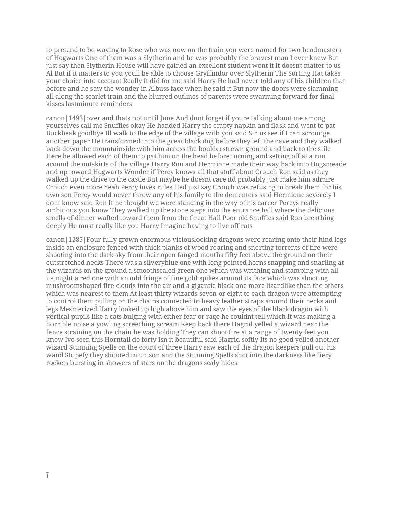to pretend to be waving to Rose who was now on the train you were named for two headmasters of Hogwarts One of them was a Slytherin and he was probably the bravest man I ever knew But just say then Slytherin House will have gained an excellent student wont it It doesnt matter to us Al But if it matters to you youll be able to choose Gryffindor over Slytherin The Sorting Hat takes your choice into account Really It did for me said Harry He had never told any of his children that before and he saw the wonder in Albuss face when he said it But now the doors were slamming all along the scarlet train and the blurred outlines of parents were swarming forward for final kisses lastminute reminders

canon|1493|over and thats not until June And dont forget if youre talking about me among yourselves call me Snuffles okay He handed Harry the empty napkin and flask and went to pat Buckbeak goodbye Ill walk to the edge of the village with you said Sirius see if I can scrounge another paper He transformed into the great black dog before they left the cave and they walked back down the mountainside with him across the boulderstrewn ground and back to the stile Here he allowed each of them to pat him on the head before turning and setting off at a run around the outskirts of the village Harry Ron and Hermione made their way back into Hogsmeade and up toward Hogwarts Wonder if Percy knows all that stuff about Crouch Ron said as they walked up the drive to the castle But maybe he doesnt care itd probably just make him admire Crouch even more Yeah Percy loves rules Hed just say Crouch was refusing to break them for his own son Percy would never throw any of his family to the dementors said Hermione severely I dont know said Ron If he thought we were standing in the way of his career Percys really ambitious you know They walked up the stone steps into the entrance hall where the delicious smells of dinner wafted toward them from the Great Hall Poor old Snuffles said Ron breathing deeply He must really like you Harry Imagine having to live off rats

canon|1285|Four fully grown enormous viciouslooking dragons were rearing onto their hind legs inside an enclosure fenced with thick planks of wood roaring and snorting torrents of fire were shooting into the dark sky from their open fanged mouths fifty feet above the ground on their outstretched necks There was a silveryblue one with long pointed horns snapping and snarling at the wizards on the ground a smoothscaled green one which was writhing and stamping with all its might a red one with an odd fringe of fine gold spikes around its face which was shooting mushroomshaped fire clouds into the air and a gigantic black one more lizardlike than the others which was nearest to them At least thirty wizards seven or eight to each dragon were attempting to control them pulling on the chains connected to heavy leather straps around their necks and legs Mesmerized Harry looked up high above him and saw the eyes of the black dragon with vertical pupils like a cats bulging with either fear or rage he couldnt tell which It was making a horrible noise a yowling screeching scream Keep back there Hagrid yelled a wizard near the fence straining on the chain he was holding They can shoot fire at a range of twenty feet you know Ive seen this Horntail do forty Isn it beautiful said Hagrid softly Its no good yelled another wizard Stunning Spells on the count of three Harry saw each of the dragon keepers pull out his wand Stupefy they shouted in unison and the Stunning Spells shot into the darkness like fiery rockets bursting in showers of stars on the dragons scaly hides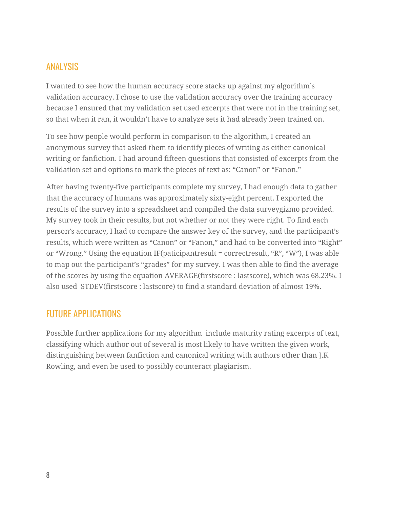## ANALYSIS

I wanted to see how the human accuracy score stacks up against my algorithm's validation accuracy. I chose to use the validation accuracy over the training accuracy because I ensured that my validation set used excerpts that were not in the training set, so that when it ran, it wouldn't have to analyze sets it had already been trained on.

To see how people would perform in comparison to the algorithm, I created an anonymous survey that asked them to identify pieces of writing as either canonical writing or fanfiction. I had around fifteen questions that consisted of excerpts from the validation set and options to mark the pieces of text as: "Canon" or "Fanon."

After having twenty-five participants complete my survey, I had enough data to gather that the accuracy of humans was approximately sixty-eight percent. I exported the results of the survey into a spreadsheet and compiled the data surveygizmo provided. My survey took in their results, but not whether or not they were right. To find each person's accuracy, I had to compare the answer key of the survey, and the participant's results, which were written as "Canon" or "Fanon," and had to be converted into "Right" or "Wrong." Using the equation IF(paticipantresult = correctresult, "R", "W"), I was able to map out the participant's "grades" for my survey. I was then able to find the average of the scores by using the equation AVERAGE(firstscore : lastscore), which was 68.23%. I also used STDEV(firstscore : lastscore) to find a standard deviation of almost 19%.

## FUTURE APPLICATIONS

Possible further applications for my algorithm include maturity rating excerpts of text, classifying which author out of several is most likely to have written the given work, distinguishing between fanfiction and canonical writing with authors other than J.K Rowling, and even be used to possibly counteract plagiarism.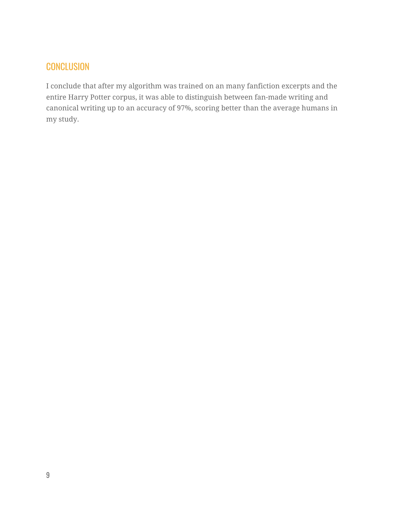## **CONCLUSION**

I conclude that after my algorithm was trained on an many fanfiction excerpts and the entire Harry Potter corpus, it was able to distinguish between fan-made writing and canonical writing up to an accuracy of 97%, scoring better than the average humans in my study.